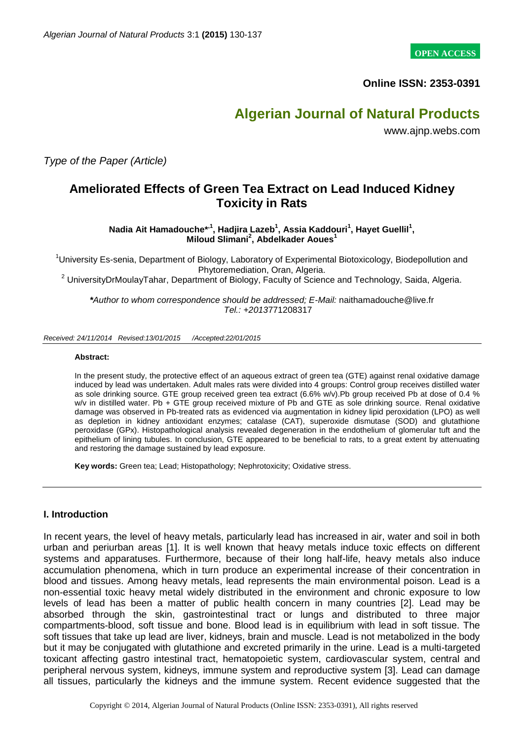**OPEN ACCESS**

**Online ISSN: 2353-0391**

# **Algerian Journal of Natural Products**

www.ajnp.webs.com

*Type of the Paper (Article)*

## **Ameliorated Effects of Green Tea Extract on Lead Induced Kidney Toxicity in Rats**

**Nadia Ait Hamadouche\*,1 , Hadjira Lazeb<sup>1</sup> , Assia Kaddouri<sup>1</sup> , Hayet Guellil<sup>1</sup> , Miloud Slimani<sup>2</sup> , Abdelkader Aoues<sup>1</sup>**

<sup>1</sup>University Es-senia, Department of Biology, Laboratory of Experimental Biotoxicology, Biodepollution and Phytoremediation, Oran, Algeria.

 $2$  UniversityDrMoulayTahar, Department of Biology, Faculty of Science and Technology, Saida, Algeria.

*\*Author to whom correspondence should be addressed; E-Mail:* naithamadouche@live.fr *Tel.: +2013*771208317

*Received: 24/11/2014 Revised:13/01/2015 /Accepted:22/01/2015*

#### **Abstract:**

In the present study, the protective effect of an aqueous extract of green tea (GTE) against renal oxidative damage induced by lead was undertaken. Adult males rats were divided into 4 groups: Control group receives distilled water as sole drinking source. GTE group received green tea extract (6.6% w/v).Pb group received Pb at dose of 0.4 % w/v in distilled water. Pb + GTE group received mixture of Pb and GTE as sole drinking source. Renal oxidative damage was observed in Pb-treated rats as evidenced via augmentation in kidney lipid peroxidation (LPO) as well as depletion in kidney antioxidant enzymes; catalase (CAT), superoxide dismutase (SOD) and glutathione peroxidase (GPx). Histopathological analysis revealed degeneration in the endothelium of glomerular tuft and the epithelium of lining tubules. In conclusion, GTE appeared to be beneficial to rats, to a great extent by attenuating and restoring the damage sustained by lead exposure.

**Key words:** Green tea; Lead; Histopathology; Nephrotoxicity; Oxidative stress.

## **I. Introduction**

In recent years, the level of heavy metals, particularly lead has increased in air, water and soil in both urban and periurban areas [1]. It is well known that heavy metals induce toxic effects on different systems and apparatuses. Furthermore, because of their long half-life, heavy metals also induce accumulation phenomena, which in turn produce an experimental increase of their concentration in blood and tissues. Among heavy metals, lead represents the main environmental poison. Lead is a non-essential toxic heavy metal widely distributed in the environment and chronic exposure to low levels of lead has been a matter of public health concern in many countries [2]. Lead may be absorbed through the skin, gastrointestinal tract or lungs and distributed to three major compartments-blood, soft tissue and bone. Blood lead is in equilibrium with lead in soft tissue. The soft tissues that take up lead are liver, kidneys, brain and muscle. Lead is not metabolized in the body but it may be conjugated with glutathione and excreted primarily in the urine. Lead is a multi-targeted toxicant affecting gastro intestinal tract, hematopoietic system, cardiovascular system, central and peripheral nervous system, kidneys, immune system and reproductive system [3]. Lead can damage all tissues, particularly the kidneys and the immune system. Recent evidence suggested that the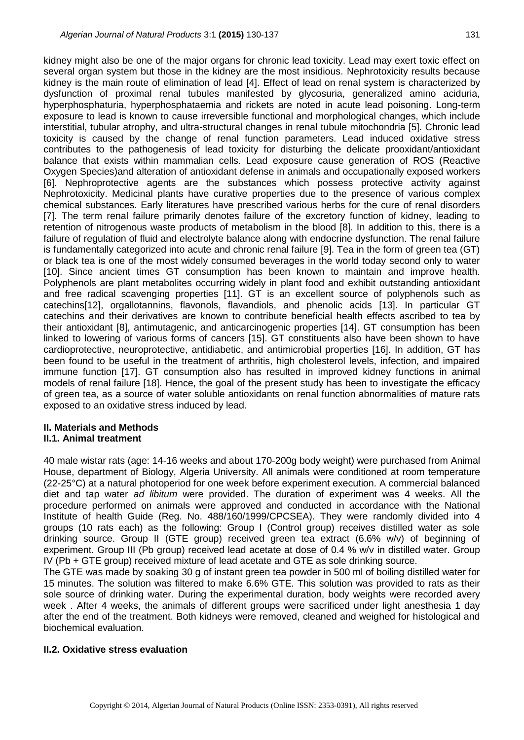kidney might also be one of the major organs for chronic lead toxicity. Lead may exert toxic effect on several organ system but those in the kidney are the most insidious. Nephrotoxicity results because kidney is the main route of elimination of lead [4]. Effect of lead on renal system is characterized by dysfunction of proximal renal tubules manifested by glycosuria, generalized amino aciduria, hyperphosphaturia, hyperphosphataemia and rickets are noted in acute lead poisoning. Long-term exposure to lead is known to cause irreversible functional and morphological changes, which include interstitial, tubular atrophy, and ultra-structural changes in renal tubule mitochondria [5]. Chronic lead toxicity is caused by the change of renal function parameters. Lead induced oxidative stress contributes to the pathogenesis of lead toxicity for disturbing the delicate prooxidant/antioxidant balance that exists within mammalian cells. Lead exposure cause generation of ROS (Reactive Oxygen Species)and alteration of antioxidant defense in animals and occupationally exposed workers [6]. Nephroprotective agents are the substances which possess protective activity against Nephrotoxicity. Medicinal plants have curative properties due to the presence of various complex chemical substances. Early literatures have prescribed various herbs for the cure of renal disorders [7]. The term renal failure primarily denotes failure of the excretory function of kidney, leading to retention of nitrogenous waste products of metabolism in the blood [8]. In addition to this, there is a failure of regulation of fluid and electrolyte balance along with endocrine dysfunction. The renal failure is fundamentally categorized into acute and chronic renal failure [9]. Tea in the form of green tea (GT) or black tea is one of the most widely consumed beverages in the world today second only to water [10]. Since ancient times GT consumption has been known to maintain and improve health. Polyphenols are plant metabolites occurring widely in plant food and exhibit outstanding antioxidant and free radical scavenging properties [11]. GT is an excellent source of polyphenols such as catechins[12], orgallotannins, flavonols, flavandiols, and phenolic acids [13]. In particular GT catechins and their derivatives are known to contribute beneficial health effects ascribed to tea by their antioxidant [8], antimutagenic, and anticarcinogenic properties [14]. GT consumption has been linked to lowering of various forms of cancers [15]. GT constituents also have been shown to have cardioprotective, neuroprotective, antidiabetic, and antimicrobial properties [16]. In addition, GT has been found to be useful in the treatment of arthritis, high cholesterol levels, infection, and impaired immune function [17]. GT consumption also has resulted in improved kidney functions in animal models of renal failure [18]. Hence, the goal of the present study has been to investigate the efficacy of green tea, as a source of water soluble antioxidants on renal function abnormalities of mature rats exposed to an oxidative stress induced by lead.

#### **II. Materials and Methods II.1. Animal treatment**

40 male wistar rats (age: 14-16 weeks and about 170-200g body weight) were purchased from Animal House, department of Biology, Algeria University. All animals were conditioned at room temperature (22-25°C) at a natural photoperiod for one week before experiment execution. A commercial balanced diet and tap water *ad libitum* were provided. The duration of experiment was 4 weeks. All the procedure performed on animals were approved and conducted in accordance with the National Institute of health Guide (Reg. No. 488/160/1999/CPCSEA). They were randomly divided into 4 groups (10 rats each) as the following: Group I (Control group) receives distilled water as sole drinking source. Group II (GTE group) received green tea extract (6.6% w/v) of beginning of experiment. Group III (Pb group) received lead acetate at dose of 0.4 % w/v in distilled water. Group IV (Pb + GTE group) received mixture of lead acetate and GTE as sole drinking source.

The GTE was made by soaking 30 g of instant green tea powder in 500 ml of boiling distilled water for 15 minutes. The solution was filtered to make 6.6% GTE. This solution was provided to rats as their sole source of drinking water. During the experimental duration, body weights were recorded avery week . After 4 weeks, the animals of different groups were sacrificed under light anesthesia 1 day after the end of the treatment. Both kidneys were removed, cleaned and weighed for histological and biochemical evaluation.

## **II.2. Oxidative stress evaluation**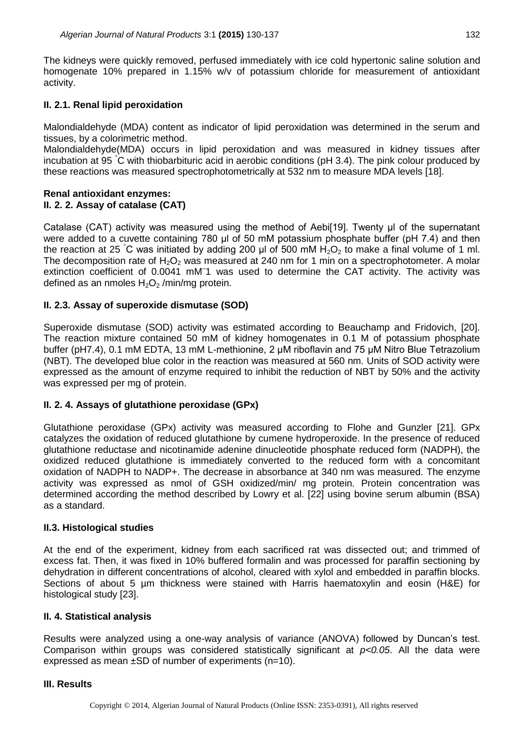The kidneys were quickly removed, perfused immediately with ice cold hypertonic saline solution and homogenate 10% prepared in 1.15% w/v of potassium chloride for measurement of antioxidant activity.

## **II. 2.1. Renal lipid peroxidation**

Malondialdehyde (MDA) content as indicator of lipid peroxidation was determined in the serum and tissues, by a colorimetric method.

Malondialdehyde(MDA) occurs in lipid peroxidation and was measured in kidney tissues after incubation at 95 °C with thiobarbituric acid in aerobic conditions (pH 3.4). The pink colour produced by these reactions was measured spectrophotometrically at 532 nm to measure MDA levels [18].

#### **Renal antioxidant enzymes: II. 2. 2. Assay of catalase (CAT)**

Catalase (CAT) activity was measured using the method of Aebi[19]. Twenty μl of the supernatant were added to a cuvette containing 780 μl of 50 mM potassium phosphate buffer (pH 7.4) and then the reaction at 25 °C was initiated by adding 200 µl of 500 mM  $H_2O_2$  to make a final volume of 1 ml. The decomposition rate of  $H_2O_2$  was measured at 240 nm for 1 min on a spectrophotometer. A molar extinction coefficient of 0.0041 mM<sup>-</sup>1 was used to determine the CAT activity. The activity was defined as an nmoles  $H_2O_2$ /min/mg protein.

## **II. 2.3. Assay of superoxide dismutase (SOD)**

Superoxide dismutase (SOD) activity was estimated according to Beauchamp and Fridovich, [20]. The reaction mixture contained 50 mM of kidney homogenates in 0.1 M of potassium phosphate buffer (pH7.4), 0.1 mM EDTA, 13 mM L-methionine, 2 μM riboflavin and 75 μM Nitro Blue Tetrazolium (NBT). The developed blue color in the reaction was measured at 560 nm. Units of SOD activity were expressed as the amount of enzyme required to inhibit the reduction of NBT by 50% and the activity was expressed per mg of protein.

## **II. 2. 4. Assays of glutathione peroxidase (GPx)**

Glutathione peroxidase (GPx) activity was measured according to Flohe and Gunzler [21]. GPx catalyzes the oxidation of reduced glutathione by cumene hydroperoxide. In the presence of reduced glutathione reductase and nicotinamide adenine dinucleotide phosphate reduced form (NADPH), the oxidized reduced glutathione is immediately converted to the reduced form with a concomitant oxidation of NADPH to NADP+. The decrease in absorbance at 340 nm was measured. The enzyme activity was expressed as nmol of GSH oxidized/min/ mg protein. Protein concentration was determined according the method described by Lowry et al. [22] using bovine serum albumin (BSA) as a standard.

## **II.3. Histological studies**

At the end of the experiment, kidney from each sacrificed rat was dissected out; and trimmed of excess fat. Then, it was fixed in 10% buffered formalin and was processed for paraffin sectioning by dehydration in different concentrations of alcohol, cleared with xylol and embedded in paraffin blocks. Sections of about 5 µm thickness were stained with Harris haematoxylin and eosin (H&E) for histological study [23].

## **II. 4. Statistical analysis**

Results were analyzed using a one-way analysis of variance (ANOVA) followed by Duncan's test. Comparison within groups was considered statistically significant at *p<0.05*. All the data were expressed as mean  $\pm$ SD of number of experiments (n=10).

#### **III. Results**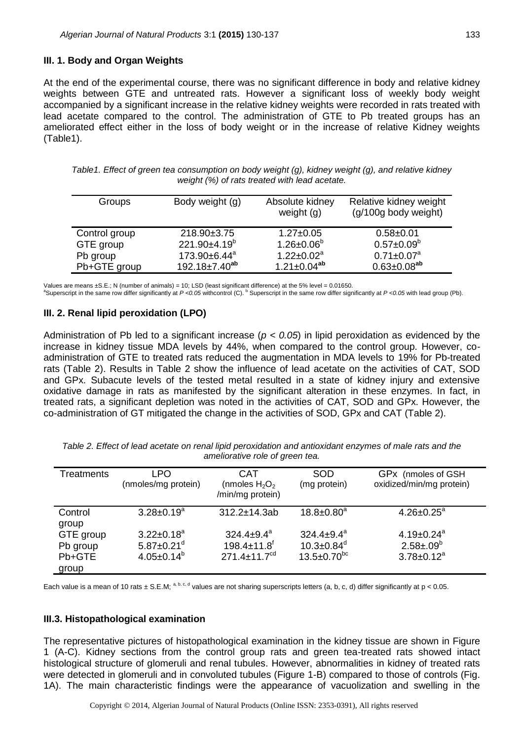#### **III. 1. Body and Organ Weights**

At the end of the experimental course, there was no significant difference in body and relative kidney weights between GTE and untreated rats. However a significant loss of weekly body weight accompanied by a significant increase in the relative kidney weights were recorded in rats treated with lead acetate compared to the control. The administration of GTE to Pb treated groups has an ameliorated effect either in the loss of body weight or in the increase of relative Kidney weights (Table1).

| Table1. Effect of green tea consumption on body weight (g), kidney weight (g), and relative kidney |
|----------------------------------------------------------------------------------------------------|
| weight (%) of rats treated with lead acetate.                                                      |

| Groups        | Body weight (g)        | Absolute kidney<br>weight $(g)$ | Relative kidney weight<br>(g/100g body weight) |
|---------------|------------------------|---------------------------------|------------------------------------------------|
| Control group | 218.90±3.75            | $1.27 \pm 0.05$                 | $0.58 + 0.01$                                  |
| GTE group     | $221.90\pm4.19^b$      | $1.26 \pm 0.06^b$               | $0.57 \pm 0.09^b$                              |
| Pb group      | $173.90\pm6.44^a$      | $1.22 \pm 0.02^a$               | $0.71 \pm 0.07^a$                              |
| Pb+GTE group  | $192.18 \pm 7.40^{ab}$ | $1.21 \pm 0.04^{ab}$            | $0.63 \pm 0.08^{ab}$                           |

Values are means  $\pm$ S.E.; N (number of animals) = 10; LSD (least significant difference) at the 5% level = 0.01650.

<sup>a</sup>Superscript in the same row differ significantly at *P* <0.05 withcontrol (C). <sup>b</sup> Superscript in the same row differ significantly at *P* <0.05 with lead group (Pb).

#### **III. 2. Renal lipid peroxidation (LPO)**

Administration of Pb led to a significant increase (*p < 0.05*) in lipid peroxidation as evidenced by the increase in kidney tissue MDA levels by 44%, when compared to the control group. However, coadministration of GTE to treated rats reduced the augmentation in MDA levels to 19% for Pb-treated rats (Table 2). Results in Table 2 show the influence of lead acetate on the activities of CAT, SOD and GPx. Subacute levels of the tested metal resulted in a state of kidney injury and extensive oxidative damage in rats as manifested by the significant alteration in these enzymes. In fact, in treated rats, a significant depletion was noted in the activities of CAT, SOD and GPx. However, the co-administration of GT mitigated the change in the activities of SOD, GPx and CAT (Table 2).

| (nmoles/mg protein)                                                    | (nmoles $H_2O_2$<br>/min/mg protein)                                                 | (mg protein)                                                              | oxidized/min/mg protein)                                       |
|------------------------------------------------------------------------|--------------------------------------------------------------------------------------|---------------------------------------------------------------------------|----------------------------------------------------------------|
| $3.28 \pm 0.19^a$                                                      | $312.2 \pm 14.3$ ab                                                                  | $18.8 \pm 0.80^a$                                                         | $4.26 \pm 0.25^{\circ}$                                        |
| $3.22 \pm 0.18^a$<br>$5.87 \pm 0.21$ <sup>d</sup><br>$4.05 \pm 0.14^b$ | $324.4 \pm 9.4^a$<br>$198.4 \pm 11.8$ <sup>t</sup><br>$271.4 \pm 11.7$ <sup>cd</sup> | $324.4 \pm 9.4^a$<br>$10.3 \pm 0.84$ <sup>d</sup><br>$13.5 \pm 0.70^{bc}$ | 4.19 $\pm$ 0.24 $a$<br>$2.58 \pm .09^{b}$<br>$3.78 \pm 0.12^a$ |
|                                                                        |                                                                                      |                                                                           |                                                                |

*Table 2. Effect of lead acetate on renal lipid peroxidation and antioxidant enzymes of male rats and the ameliorative role of green tea.*

Each value is a mean of 10 rats  $\pm$  S.E.M; a, b, c, d values are not sharing superscripts letters (a, b, c, d) differ significantly at p < 0.05.

#### **III.3. Histopathological examination**

The representative pictures of histopathological examination in the kidney tissue are shown in Figure 1 (A-C). Kidney sections from the control group rats and green tea-treated rats showed intact histological structure of glomeruli and renal tubules. However, abnormalities in kidney of treated rats were detected in glomeruli and in convoluted tubules (Figure 1-B) compared to those of controls (Fig. 1A). The main characteristic findings were the appearance of vacuolization and swelling in the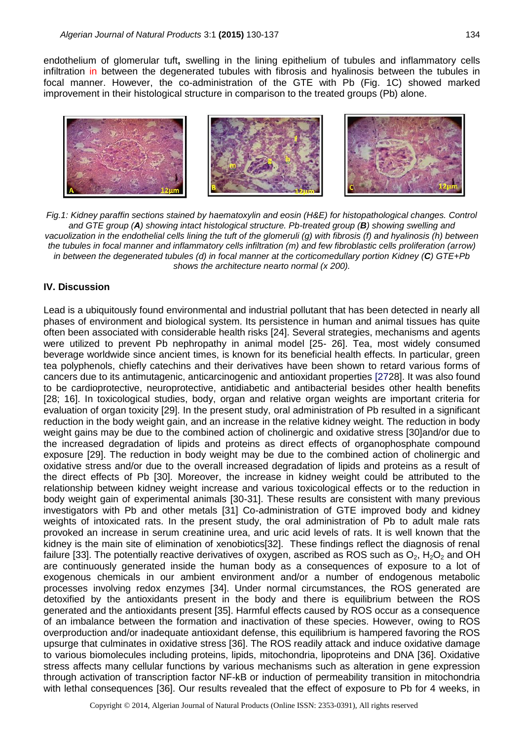endothelium of glomerular tuft**,** swelling in the lining epithelium of tubules and inflammatory cells infiltration in between the degenerated tubules with fibrosis and hyalinosis between the tubules in focal manner. However, the co-administration of the GTE with Pb (Fig. 1C) showed marked improvement in their histological structure in comparison to the treated groups (Pb) alone.



*Fig.1: Kidney paraffin sections stained by haematoxylin and eosin (H&E) for histopathological changes. Control and GTE group (A) showing intact histological structure. Pb-treated group (B) showing swelling and vacuolization in the endothelial cells lining the tuft of the glomeruli (g) with fibrosis (f) and hyalinosis (h) between the tubules in focal manner and inflammatory cells infiltration (m) and few fibroblastic cells proliferation (arrow) in between the degenerated tubules (d) in focal manner at the corticomedullary portion Kidney (C) GTE+Pb shows the architecture nearto normal (x 200).*

### **IV. Discussion**

Lead is a ubiquitously found environmental and industrial pollutant that has been detected in nearly all phases of environment and biological system. Its persistence in human and animal tissues has quite often been associated with considerable health risks [24]. Several strategies, mechanisms and agents were utilized to prevent Pb nephropathy in animal model [25- 26]. Tea, most widely consumed beverage worldwide since ancient times, is known for its beneficial health effects. In particular, green tea polyphenols, chiefly catechins and their derivatives have been shown to retard various forms of cancers due to its antimutagenic, anticarcinogenic and antioxidant properties [2728]. It was also found to be cardioprotective, neuroprotective, antidiabetic and antibacterial besides other health benefits [28; 16]. In toxicological studies, body, organ and relative organ weights are important criteria for evaluation of organ toxicity [29]. In the present study, oral administration of Pb resulted in a significant reduction in the body weight gain, and an increase in the relative kidney weight. The reduction in body weight gains may be due to the combined action of cholinergic and oxidative stress [30]and/or due to the increased degradation of lipids and proteins as direct effects of organophosphate compound exposure [29]. The reduction in body weight may be due to the combined action of cholinergic and oxidative stress and/or due to the overall increased degradation of lipids and proteins as a result of the direct effects of Pb [30]. Moreover, the increase in kidney weight could be attributed to the relationship between kidney weight increase and various toxicological effects or to the reduction in body weight gain of experimental animals [30-31]. These results are consistent with many previous investigators with Pb and other metals [31] Co-administration of GTE improved body and kidney weights of intoxicated rats. In the present study, the oral administration of Pb to adult male rats provoked an increase in serum creatinine urea, and uric acid levels of rats. It is well known that the kidney is the main site of elimination of xenobiotics[32]. These findings reflect the diagnosis of renal failure [33]. The potentially reactive derivatives of oxygen, ascribed as ROS such as  $O_2$ , H<sub>2</sub>O<sub>2</sub> and OH are continuously generated inside the human body as a consequences of exposure to a lot of exogenous chemicals in our ambient environment and/or a number of endogenous metabolic processes involving redox enzymes [34]. Under normal circumstances, the ROS generated are detoxified by the antioxidants present in the body and there is equilibrium between the ROS generated and the antioxidants present [35]. Harmful effects caused by ROS occur as a consequence of an imbalance between the formation and inactivation of these species. However, owing to ROS overproduction and/or inadequate antioxidant defense, this equilibrium is hampered favoring the ROS upsurge that culminates in oxidative stress [36]. The ROS readily attack and induce oxidative damage to various biomolecules including proteins, lipids, mitochondria, lipoproteins and DNA [36]. Oxidative stress affects many cellular functions by various mechanisms such as alteration in gene expression through activation of transcription factor NF-kB or induction of permeability transition in mitochondria with lethal consequences [36]. Our results revealed that the effect of exposure to Pb for 4 weeks, in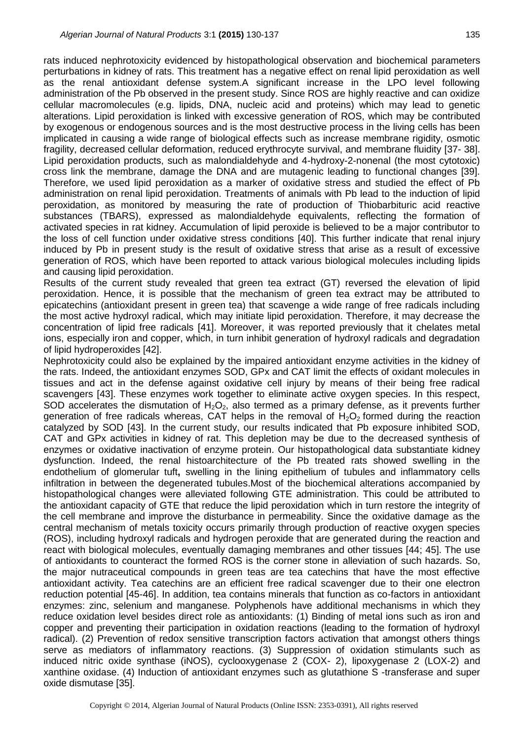rats induced nephrotoxicity evidenced by histopathological observation and biochemical parameters perturbations in kidney of rats. This treatment has a negative effect on renal lipid peroxidation as well as the renal antioxidant defense system.A significant increase in the LPO level following administration of the Pb observed in the present study. Since ROS are highly reactive and can oxidize cellular macromolecules (e.g. lipids, DNA, nucleic acid and proteins) which may lead to genetic alterations. Lipid peroxidation is linked with excessive generation of ROS, which may be contributed by exogenous or endogenous sources and is the most destructive process in the living cells has been implicated in causing a wide range of biological effects such as increase membrane rigidity, osmotic fragility, decreased cellular deformation, reduced erythrocyte survival, and membrane fluidity [37- 38]. Lipid peroxidation products, such as malondialdehyde and 4-hydroxy-2-nonenal (the most cytotoxic) cross link the membrane, damage the DNA and are mutagenic leading to functional changes [39]. Therefore, we used lipid peroxidation as a marker of oxidative stress and studied the effect of Pb administration on renal lipid peroxidation. Treatments of animals with Pb lead to the induction of lipid peroxidation, as monitored by measuring the rate of production of Thiobarbituric acid reactive substances (TBARS), expressed as malondialdehyde equivalents, reflecting the formation of activated species in rat kidney. Accumulation of lipid peroxide is believed to be a major contributor to the loss of cell function under oxidative stress conditions [40]. This further indicate that renal injury induced by Pb in present study is the result of oxidative stress that arise as a result of excessive generation of ROS, which have been reported to attack various biological molecules including lipids and causing lipid peroxidation.

Results of the current study revealed that green tea extract (GT) reversed the elevation of lipid peroxidation. Hence, it is possible that the mechanism of green tea extract may be attributed to epicatechins (antioxidant present in green tea) that scavenge a wide range of free radicals including the most active hydroxyl radical, which may initiate lipid peroxidation. Therefore, it may decrease the concentration of lipid free radicals [41]. Moreover, it was reported previously that it chelates metal ions, especially iron and copper, which, in turn inhibit generation of hydroxyl radicals and degradation of lipid hydroperoxides [42].

Nephrotoxicity could also be explained by the impaired antioxidant enzyme activities in the kidney of the rats. Indeed, the antioxidant enzymes SOD, GPx and CAT limit the effects of oxidant molecules in tissues and act in the defense against oxidative cell injury by means of their being free radical scavengers [43]. These enzymes work together to eliminate active oxygen species. In this respect, SOD accelerates the dismutation of  $H_2O_2$ , also termed as a primary defense, as it prevents further generation of free radicals whereas, CAT helps in the removal of  $H_2O_2$  formed during the reaction catalyzed by SOD [43]. In the current study, our results indicated that Pb exposure inhibited SOD, CAT and GPx activities in kidney of rat. This depletion may be due to the decreased synthesis of enzymes or oxidative inactivation of enzyme protein. Our histopathological data substantiate kidney dysfunction. Indeed, the renal histoarchitecture of the Pb treated rats showed swelling in the endothelium of glomerular tuft**,** swelling in the lining epithelium of tubules and inflammatory cells infiltration in between the degenerated tubules.Most of the biochemical alterations accompanied by histopathological changes were alleviated following GTE administration. This could be attributed to the antioxidant capacity of GTE that reduce the lipid peroxidation which in turn restore the integrity of the cell membrane and improve the disturbance in permeability. Since the oxidative damage as the central mechanism of metals toxicity occurs primarily through production of reactive oxygen species (ROS), including hydroxyl radicals and hydrogen peroxide that are generated during the reaction and react with biological molecules, eventually damaging membranes and other tissues [44; 45]. The use of antioxidants to counteract the formed ROS is the corner stone in alleviation of such hazards. So, the major nutraceutical compounds in green teas are tea catechins that have the most effective antioxidant activity. Tea catechins are an efficient free radical scavenger due to their one electron reduction potential [45-46]. In addition, tea contains minerals that function as co-factors in antioxidant enzymes: zinc, selenium and manganese. Polyphenols have additional mechanisms in which they reduce oxidation level besides direct role as antioxidants: (1) Binding of metal ions such as iron and copper and preventing their participation in oxidation reactions (leading to the formation of hydroxyl radical). (2) Prevention of redox sensitive transcription factors activation that amongst others things serve as mediators of inflammatory reactions. (3) Suppression of oxidation stimulants such as induced nitric oxide synthase (iNOS), cyclooxygenase 2 (COX- 2), lipoxygenase 2 (LOX-2) and xanthine oxidase. (4) Induction of antioxidant enzymes such as glutathione S -transferase and super oxide dismutase [35].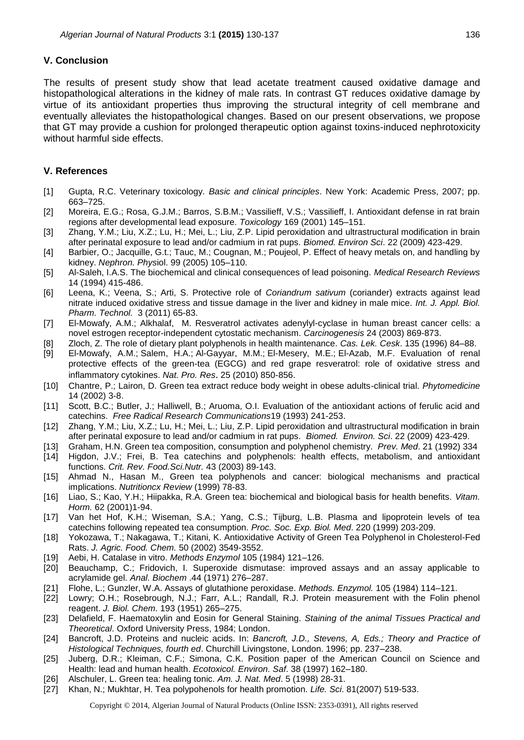### **V. Conclusion**

The results of present study show that lead acetate treatment caused oxidative damage and histopathological alterations in the kidney of male rats. In contrast GT reduces oxidative damage by virtue of its antioxidant properties thus improving the structural integrity of cell membrane and eventually alleviates the histopathological changes. Based on our present observations, we propose that GT may provide a cushion for prolonged therapeutic option against toxins-induced nephrotoxicity without harmful side effects.

### **V. References**

- [1] Gupta, R.C. Veterinary toxicology. *Basic and clinical principles*. New York: Academic Press, 2007; pp. 663–725.
- [2] Moreira, E.G.; Rosa, G.J.M.; Barros, S.B.M.; Vassilieff, V.S.; Vassilieff, I. Antioxidant defense in rat brain regions after developmental lead exposure. *Toxicology* 169 (2001) 145–151.
- [3] Zhang, Y.M.; Liu, X.Z.; Lu, H.; Mei, L.; Liu, Z.P. Lipid peroxidation and ultrastructural modification in brain after perinatal exposure to lead and/or cadmium in rat pups. *Biomed. Environ Sci*. 22 (2009) 423-429.
- [4] Barbier, O.; Jacquille, G.t.; Tauc, M.; Cougnan, M.; Poujeol, P. Effect of heavy metals on, and handling by kidney. *Nephron. Phys*iol. 99 (2005) 105–110.
- [5] Al-Saleh, I.A.S. The biochemical and clinical consequences of lead poisoning. *Medical Research Reviews* 14 (1994) 415-486.
- [6] Leena, K.; Veena, S.; Arti, S. Protective role of *Coriandrum sativum* (coriander) extracts against lead nitrate induced oxidative stress and tissue damage in the liver and kidney in male mice. *Int. J. Appl. Biol. Pharm. Technol.* 3 (2011) 65-83.
- [7] El-Mowafy, A.M.; Alkhalaf, M. Resveratrol activates adenylyl-cyclase in human breast cancer cells: a novel estrogen receptor-independent cytostatic mechanism. *Carcinogenesis* 24 (2003) 869-873.
- [8] Zloch, Z. The role of dietary plant polyphenols in health maintenance. *Cas. Lek. Cesk*. 135 (1996) 84–88.
- [9] El-Mowafy, A.M.; Salem, H.A.; Al-Gayyar, M.M.; El-Mesery, M.E.; El-Azab, M.F. Evaluation of renal protective effects of the green-tea (EGCG) and red grape resveratrol: role of oxidative stress and inflammatory cytokines. *Nat. Pro. Res*. 25 (2010) 850-856.
- [10] Chantre, P.; Lairon, D. Green tea extract reduce body weight in obese adults-clinical trial. *Phytomedicine* 14 (2002) 3-8.
- [11] Scott, B.C.; Butler, J.; Halliwell, B.; Aruoma, O.I. Evaluation of the antioxidant actions of ferulic acid and catechins. *Free Radical Research Communications*19 (1993) 241-253.
- [12] Zhang, Y.M.; Liu, X.Z.; Lu, H.; Mei, L.; Liu, Z.P. Lipid peroxidation and ultrastructural modification in brain after perinatal exposure to lead and/or cadmium in rat pups. *Biomed. Environ. Sci*. 22 (2009) 423-429.
- [13] Graham, H.N. Green tea composition, consumption and polyphenol chemistry. *Prev. Med*. 21 (1992) 334
- [14] Higdon, J.V.; Frei, B. Tea catechins and polyphenols: health effects, metabolism, and antioxidant functions. *Crit. Rev. Food.Sci.Nutr.* 43 (2003) 89-143.
- [15] Ahmad N., Hasan M., Green tea polyphenols and cancer: biological mechanisms and practical implications. *Nutritioncx Review* (1999) 78-83.
- [16] Liao, S.; Kao, Y.H.; Hiipakka, R.A. Green tea: biochemical and biological basis for health benefits. *Vitam. Horm.* 62 (2001)1-94.
- [17] Van het Hof, K.H.; Wiseman, S.A.; Yang, C.S.; Tijburg, L.B. Plasma and lipoprotein levels of tea catechins following repeated tea consumption. *Proc. Soc. Exp. Biol. Med*. 220 (1999) 203-209.
- [18] Yokozawa, T.; Nakagawa, T.; Kitani, K. Antioxidative Activity of Green Tea Polyphenol in Cholesterol-Fed Rats. *J. Agric. Food. Chem.* 50 (2002) 3549-3552.
- [19] Aebi, H. Catalase in vitro. *Methods Enzymol* 105 (1984) 121–126.
- [20] Beauchamp, C.; Fridovich, I. Superoxide dismutase: improved assays and an assay applicable to acrylamide gel. *Anal. Biochem* .44 (1971) 276–287.
- [21] Flohe, L.; Gunzler, W.A. Assays of glutathione peroxidase. *Methods. Enzymol.* 105 (1984) 114–121.
- [22] Lowry; O.H.; Rosebrough, N.J.; Farr, A.L.; Randall, R.J. Protein measurement with the Folin phenol reagent. *J. Biol. Chem.* 193 (1951) 265–275.
- [23] Delafield, F. Haematoxylin and Eosin for General Staining. *Staining of the animal Tissues Practical and Theoretical*. Oxford University Press, 1984; London.
- [24] Bancroft, J.D. Proteins and nucleic acids. In: *Bancroft, J.D., Stevens, A, Eds.; Theory and Practice of Histological Techniques, fourth ed*. Churchill Livingstone, London. 1996; pp. 237–238.
- [25] Juberg, D.R.; Kleiman, C.F.; Simona, C.K. Position paper of the American Council on Science and Health: lead and human health. *Ecotoxicol. Environ. Saf*. 38 (1997) 162–180.
- [26] Alschuler, L. Green tea: healing tonic. *Am. J. Nat. Med*. 5 (1998) 28-31.
- [27] Khan, N.; Mukhtar, H. Tea polypohenols for health promotion. *Life. Sci*. 81(2007) 519-533.